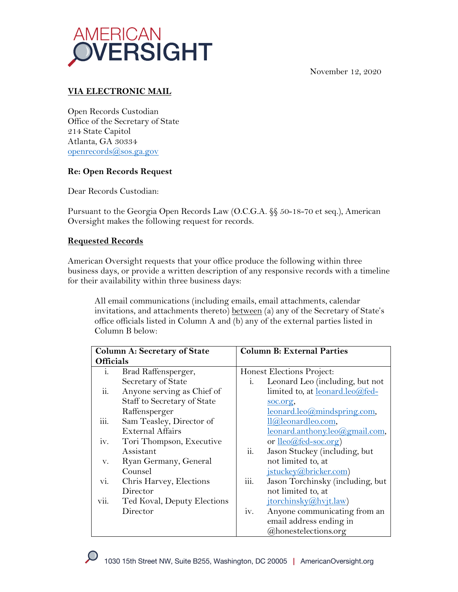

November 12, 2020

## **VIA ELECTRONIC MAIL**

Open Records Custodian Office of the Secretary of State 214 State Capitol Atlanta, GA 30334 openrecords@sos.ga.gov

## **Re: Open Records Request**

Dear Records Custodian:

Pursuant to the Georgia Open Records Law (O.C.G.A. §§ 50-18-70 et seq.), American Oversight makes the following request for records.

## **Requested Records**

American Oversight requests that your office produce the following within three business days, or provide a written description of any responsive records with a timeline for their availability within three business days:

All email communications (including emails, email attachments, calendar invitations, and attachments thereto) between (a) any of the Secretary of State's office officials listed in Column A and (b) any of the external parties listed in Column B below:

|                  | <b>Column A: Secretary of State</b> | <b>Column B: External Parties</b> |                                    |
|------------------|-------------------------------------|-----------------------------------|------------------------------------|
| <b>Officials</b> |                                     |                                   |                                    |
| i.               | Brad Raffensperger,                 |                                   | Honest Elections Project:          |
|                  | Secretary of State                  | i.                                | Leonard Leo (including, but not    |
| ii.              | Anyone serving as Chief of          |                                   | limited to, at leonard.leo@fed-    |
|                  | Staff to Secretary of State         |                                   | soc.org,                           |
|                  | Raffensperger                       |                                   | $leonard.leo@mindspring.com$       |
| iii.             | Sam Teasley, Director of            |                                   | ll@leonardleo.com,                 |
|                  | <b>External Affairs</b>             |                                   | leonard.anthony.leo@gmail.com,     |
| iv.              | Tori Thompson, Executive            |                                   | or <u>lleo</u> @fed-soc.org)       |
|                  | Assistant                           | ii.                               | Jason Stuckey (including, but      |
| V.               | Ryan Germany, General               |                                   | not limited to, at                 |
|                  | Counsel                             |                                   | jstuckey@bricker.com)              |
| vi.              | Chris Harvey, Elections             | iii.                              | Jason Torchinsky (including, but   |
|                  | Director                            |                                   | not limited to, at                 |
| vii.             | Ted Koval, Deputy Elections         |                                   | jtorchinsky@hvjt.law)              |
|                  | Director                            | iv.                               | Anyone communicating from an       |
|                  |                                     |                                   | email address ending in            |
|                  |                                     |                                   | <i><b>@honestelections.org</b></i> |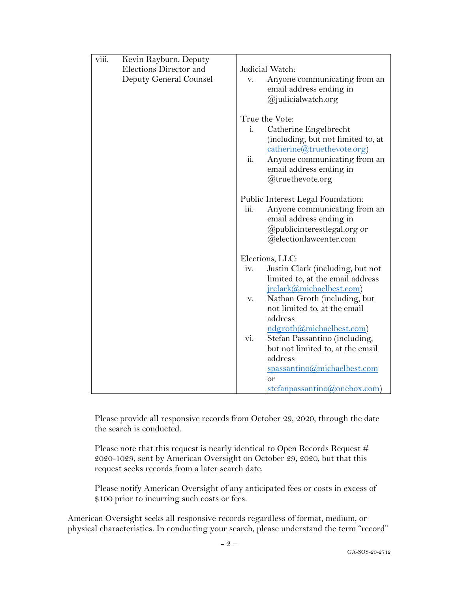| viii. | Kevin Rayburn, Deputy  |                                   |                                                                               |
|-------|------------------------|-----------------------------------|-------------------------------------------------------------------------------|
|       | Elections Director and | Judicial Watch:                   |                                                                               |
|       | Deputy General Counsel | V.                                | Anyone communicating from an<br>email address ending in<br>@judicialwatch.org |
|       |                        | True the Vote:                    |                                                                               |
|       |                        | 1.                                | Catherine Engelbrecht<br>(including, but not limited to, at                   |
|       |                        |                                   | catherine@truethevote.org)                                                    |
|       |                        | ii.                               | Anyone communicating from an<br>email address ending in<br>@truethevote.org   |
|       |                        |                                   |                                                                               |
|       |                        | Public Interest Legal Foundation: |                                                                               |
|       |                        | 111.                              | Anyone communicating from an<br>email address ending in                       |
|       |                        |                                   | @publicinterestlegal.org or                                                   |
|       |                        |                                   | @electionlawcenter.com                                                        |
|       |                        | Elections, LLC:                   |                                                                               |
|       |                        | iv.                               | Justin Clark (including, but not                                              |
|       |                        |                                   | limited to, at the email address                                              |
|       |                        |                                   | jrclark@michaelbest.com)                                                      |
|       |                        | v.                                | Nathan Groth (including, but                                                  |
|       |                        |                                   | not limited to, at the email                                                  |
|       |                        |                                   | address                                                                       |
|       |                        |                                   | ndgroth@michaelbest.com)                                                      |
|       |                        | Vl.                               | Stefan Passantino (including,                                                 |
|       |                        |                                   | but not limited to, at the email                                              |
|       |                        |                                   | address                                                                       |
|       |                        |                                   | spassantino@michaelbest.com                                                   |
|       |                        |                                   | or                                                                            |
|       |                        |                                   | stefanpassantino@onebox.com)                                                  |

Please provide all responsive records from October 29, 2020, through the date the search is conducted.

Please note that this request is nearly identical to Open Records Request # 2020-1029, sent by American Oversight on October 29, 2020, but that this request seeks records from a later search date.

Please notify American Oversight of any anticipated fees or costs in excess of \$100 prior to incurring such costs or fees.

American Oversight seeks all responsive records regardless of format, medium, or physical characteristics. In conducting your search, please understand the term "record"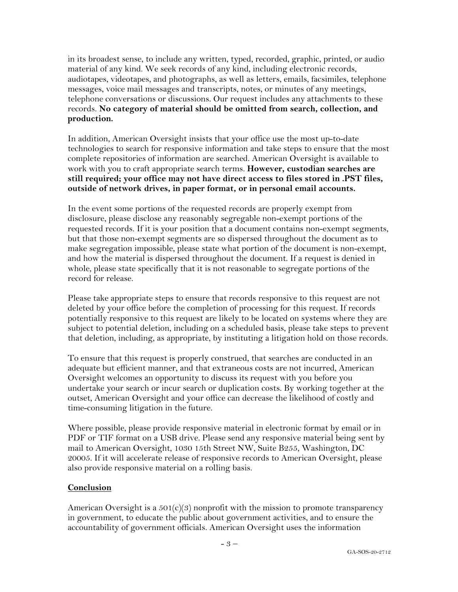in its broadest sense, to include any written, typed, recorded, graphic, printed, or audio material of any kind. We seek records of any kind, including electronic records, audiotapes, videotapes, and photographs, as well as letters, emails, facsimiles, telephone messages, voice mail messages and transcripts, notes, or minutes of any meetings, telephone conversations or discussions. Our request includes any attachments to these records. **No category of material should be omitted from search, collection, and production.**

In addition, American Oversight insists that your office use the most up-to-date technologies to search for responsive information and take steps to ensure that the most complete repositories of information are searched. American Oversight is available to work with you to craft appropriate search terms. **However, custodian searches are still required; your office may not have direct access to files stored in .PST files, outside of network drives, in paper format, or in personal email accounts.**

In the event some portions of the requested records are properly exempt from disclosure, please disclose any reasonably segregable non-exempt portions of the requested records. If it is your position that a document contains non-exempt segments, but that those non-exempt segments are so dispersed throughout the document as to make segregation impossible, please state what portion of the document is non-exempt, and how the material is dispersed throughout the document. If a request is denied in whole, please state specifically that it is not reasonable to segregate portions of the record for release.

Please take appropriate steps to ensure that records responsive to this request are not deleted by your office before the completion of processing for this request. If records potentially responsive to this request are likely to be located on systems where they are subject to potential deletion, including on a scheduled basis, please take steps to prevent that deletion, including, as appropriate, by instituting a litigation hold on those records.

To ensure that this request is properly construed, that searches are conducted in an adequate but efficient manner, and that extraneous costs are not incurred, American Oversight welcomes an opportunity to discuss its request with you before you undertake your search or incur search or duplication costs. By working together at the outset, American Oversight and your office can decrease the likelihood of costly and time-consuming litigation in the future.

Where possible, please provide responsive material in electronic format by email or in PDF or TIF format on a USB drive. Please send any responsive material being sent by mail to American Oversight, 1030 15th Street NW, Suite B255, Washington, DC 20005. If it will accelerate release of responsive records to American Oversight, please also provide responsive material on a rolling basis.

## **Conclusion**

American Oversight is a  $501(c)(3)$  nonprofit with the mission to promote transparency in government, to educate the public about government activities, and to ensure the accountability of government officials. American Oversight uses the information